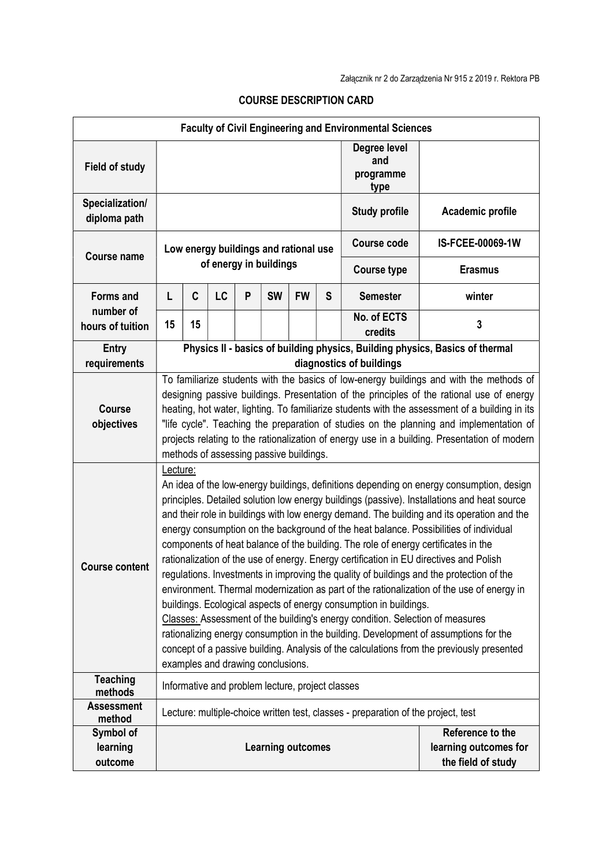| <b>Faculty of Civil Engineering and Environmental Sciences</b> |                                                                                                                                                                                                                                                                                                                                                                                                                                                                                                                                                                                                                                                                                                                                                                                                                                                                                                                                                                                                                                                                                                                                                     |    |    |   |                          |           |   |                                          |                                                                 |
|----------------------------------------------------------------|-----------------------------------------------------------------------------------------------------------------------------------------------------------------------------------------------------------------------------------------------------------------------------------------------------------------------------------------------------------------------------------------------------------------------------------------------------------------------------------------------------------------------------------------------------------------------------------------------------------------------------------------------------------------------------------------------------------------------------------------------------------------------------------------------------------------------------------------------------------------------------------------------------------------------------------------------------------------------------------------------------------------------------------------------------------------------------------------------------------------------------------------------------|----|----|---|--------------------------|-----------|---|------------------------------------------|-----------------------------------------------------------------|
| <b>Field of study</b>                                          |                                                                                                                                                                                                                                                                                                                                                                                                                                                                                                                                                                                                                                                                                                                                                                                                                                                                                                                                                                                                                                                                                                                                                     |    |    |   |                          |           |   | Degree level<br>and<br>programme<br>type |                                                                 |
| Specialization/<br>diploma path                                |                                                                                                                                                                                                                                                                                                                                                                                                                                                                                                                                                                                                                                                                                                                                                                                                                                                                                                                                                                                                                                                                                                                                                     |    |    |   |                          |           |   | <b>Study profile</b>                     | Academic profile                                                |
| <b>Course name</b>                                             | Low energy buildings and rational use<br>of energy in buildings                                                                                                                                                                                                                                                                                                                                                                                                                                                                                                                                                                                                                                                                                                                                                                                                                                                                                                                                                                                                                                                                                     |    |    |   |                          |           |   | <b>Course code</b>                       | IS-FCEE-00069-1W                                                |
|                                                                |                                                                                                                                                                                                                                                                                                                                                                                                                                                                                                                                                                                                                                                                                                                                                                                                                                                                                                                                                                                                                                                                                                                                                     |    |    |   |                          |           |   | <b>Course type</b>                       | <b>Erasmus</b>                                                  |
| <b>Forms and</b><br>number of                                  | L                                                                                                                                                                                                                                                                                                                                                                                                                                                                                                                                                                                                                                                                                                                                                                                                                                                                                                                                                                                                                                                                                                                                                   | C  | LC | P | <b>SW</b>                | <b>FW</b> | S | <b>Semester</b>                          | winter                                                          |
| hours of tuition                                               | 15                                                                                                                                                                                                                                                                                                                                                                                                                                                                                                                                                                                                                                                                                                                                                                                                                                                                                                                                                                                                                                                                                                                                                  | 15 |    |   |                          |           |   | No. of ECTS<br>credits                   | 3                                                               |
| <b>Entry</b><br>requirements                                   | Physics II - basics of building physics, Building physics, Basics of thermal<br>diagnostics of buildings                                                                                                                                                                                                                                                                                                                                                                                                                                                                                                                                                                                                                                                                                                                                                                                                                                                                                                                                                                                                                                            |    |    |   |                          |           |   |                                          |                                                                 |
| <b>Course</b><br>objectives                                    | To familiarize students with the basics of low-energy buildings and with the methods of<br>designing passive buildings. Presentation of the principles of the rational use of energy<br>heating, hot water, lighting. To familiarize students with the assessment of a building in its<br>"life cycle". Teaching the preparation of studies on the planning and implementation of<br>projects relating to the rationalization of energy use in a building. Presentation of modern<br>methods of assessing passive buildings.                                                                                                                                                                                                                                                                                                                                                                                                                                                                                                                                                                                                                        |    |    |   |                          |           |   |                                          |                                                                 |
| <b>Course content</b>                                          | Lecture:<br>An idea of the low-energy buildings, definitions depending on energy consumption, design<br>principles. Detailed solution low energy buildings (passive). Installations and heat source<br>and their role in buildings with low energy demand. The building and its operation and the<br>energy consumption on the background of the heat balance. Possibilities of individual<br>components of heat balance of the building. The role of energy certificates in the<br>rationalization of the use of energy. Energy certification in EU directives and Polish<br>regulations. Investments in improving the quality of buildings and the protection of the<br>environment. Thermal modernization as part of the rationalization of the use of energy in<br>buildings. Ecological aspects of energy consumption in buildings.<br>Classes: Assessment of the building's energy condition. Selection of measures<br>rationalizing energy consumption in the building. Development of assumptions for the<br>concept of a passive building. Analysis of the calculations from the previously presented<br>examples and drawing conclusions. |    |    |   |                          |           |   |                                          |                                                                 |
| <b>Teaching</b><br>methods                                     | Informative and problem lecture, project classes                                                                                                                                                                                                                                                                                                                                                                                                                                                                                                                                                                                                                                                                                                                                                                                                                                                                                                                                                                                                                                                                                                    |    |    |   |                          |           |   |                                          |                                                                 |
| <b>Assessment</b>                                              | Lecture: multiple-choice written test, classes - preparation of the project, test                                                                                                                                                                                                                                                                                                                                                                                                                                                                                                                                                                                                                                                                                                                                                                                                                                                                                                                                                                                                                                                                   |    |    |   |                          |           |   |                                          |                                                                 |
| method<br>Symbol of<br>learning<br>outcome                     |                                                                                                                                                                                                                                                                                                                                                                                                                                                                                                                                                                                                                                                                                                                                                                                                                                                                                                                                                                                                                                                                                                                                                     |    |    |   | <b>Learning outcomes</b> |           |   |                                          | Reference to the<br>learning outcomes for<br>the field of study |

## COURSE DESCRIPTION CARD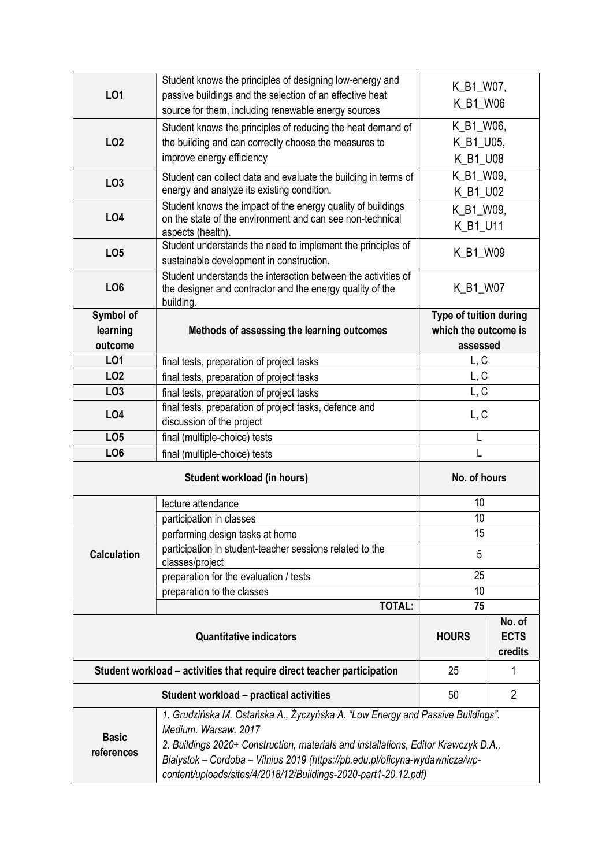|                    | Student knows the principles of designing low-energy and                            | K_B1_W07,            |                |  |
|--------------------|-------------------------------------------------------------------------------------|----------------------|----------------|--|
| LO1                | passive buildings and the selection of an effective heat                            | K_B1_W06             |                |  |
|                    | source for them, including renewable energy sources                                 |                      |                |  |
|                    | Student knows the principles of reducing the heat demand of                         | K_B1_W06,            |                |  |
| LO <sub>2</sub>    | the building and can correctly choose the measures to                               | K_B1_U05,            |                |  |
|                    | improve energy efficiency                                                           | K_B1_U08             |                |  |
| LO <sub>3</sub>    | Student can collect data and evaluate the building in terms of                      | K_B1_W09,            |                |  |
|                    | energy and analyze its existing condition.                                          | K_B1_U02             |                |  |
|                    | Student knows the impact of the energy quality of buildings                         | K_B1_W09,            |                |  |
| LO4                | on the state of the environment and can see non-technical                           | K_B1_U11             |                |  |
|                    | aspects (health).<br>Student understands the need to implement the principles of    |                      |                |  |
| LO <sub>5</sub>    | sustainable development in construction.                                            | K_B1_W09             |                |  |
|                    | Student understands the interaction between the activities of                       |                      |                |  |
| LO <sub>6</sub>    | the designer and contractor and the energy quality of the                           | K_B1_W07             |                |  |
|                    | building.                                                                           |                      |                |  |
| Symbol of          | Type of tuition during                                                              |                      |                |  |
| learning           | Methods of assessing the learning outcomes                                          | which the outcome is |                |  |
| outcome            |                                                                                     | assessed             |                |  |
| L01                | final tests, preparation of project tasks                                           | L, C                 |                |  |
| LO <sub>2</sub>    | final tests, preparation of project tasks                                           | L, C                 |                |  |
| LO <sub>3</sub>    | final tests, preparation of project tasks                                           | L, C                 |                |  |
| LO <sub>4</sub>    | final tests, preparation of project tasks, defence and                              | L, C                 |                |  |
|                    | discussion of the project                                                           |                      |                |  |
|                    |                                                                                     |                      |                |  |
| LO <sub>5</sub>    | final (multiple-choice) tests                                                       |                      |                |  |
| LO <sub>6</sub>    | final (multiple-choice) tests                                                       |                      |                |  |
|                    | Student workload (in hours)                                                         | No. of hours         |                |  |
|                    | lecture attendance                                                                  | 10                   |                |  |
|                    | participation in classes                                                            | 10                   |                |  |
|                    | performing design tasks at home                                                     | 15                   |                |  |
| <b>Calculation</b> | participation in student-teacher sessions related to the                            | 5                    |                |  |
|                    | classes/project                                                                     |                      |                |  |
|                    | preparation for the evaluation / tests                                              | 25<br>10             |                |  |
|                    | preparation to the classes<br><b>TOTAL:</b>                                         | 75                   |                |  |
|                    |                                                                                     |                      | No. of         |  |
|                    | <b>Quantitative indicators</b>                                                      | <b>HOURS</b>         | <b>ECTS</b>    |  |
|                    |                                                                                     |                      | credits        |  |
|                    | Student workload – activities that require direct teacher participation             | 25                   | 1              |  |
|                    | <b>Student workload - practical activities</b>                                      | 50                   | $\overline{2}$ |  |
|                    | 1. Grudzińska M. Ostańska A., Życzyńska A. "Low Energy and Passive Buildings".      |                      |                |  |
|                    | Medium. Warsaw, 2017                                                                |                      |                |  |
| <b>Basic</b>       | 2. Buildings 2020+ Construction, materials and installations, Editor Krawczyk D.A., |                      |                |  |
| references         | Bialystok - Cordoba - Vilnius 2019 (https://pb.edu.pl/oficyna-wydawnicza/wp-        |                      |                |  |